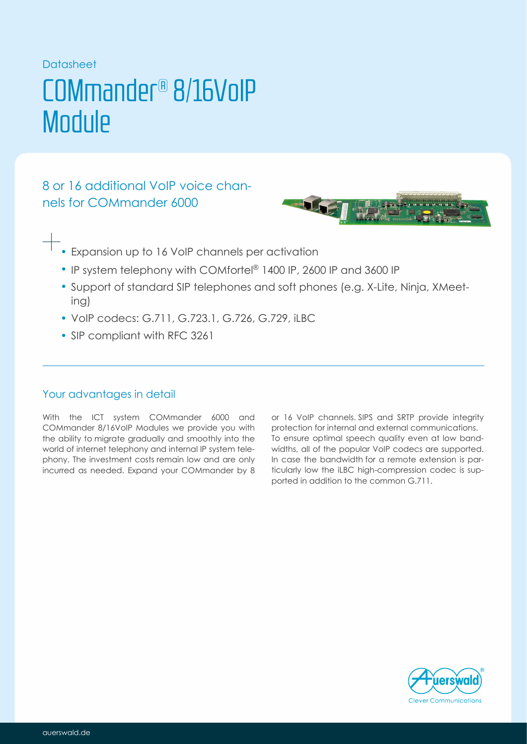## Datasheet

# COMmander® 8/16VoIP **Module**

8 or 16 additional voice chan-VoIP nels for COMmander 6000



- Expansion up to 16 VoIP channels per activation
	- IP system telephony with COMfortel® 1400 IP, 2600 IP and 3600 IP
	- Support of standard SIP telephones and soft phones (e.g. X-Lite, Ninja, XMeeting)
	- VoIP codecs: G.711, G.723.1, G.726, G.729, iLBC
	- SIP compliant with RFC 3261

## Your advantages in detail

With the ICT system COMmander 6000 and COMmander 8/16VoIP Modules we provide you with the ability to migrate gradually and smoothly into the world of internet telephony and internal IP system telephony. The investment costs remain low and are only incurred as needed. Expand your COMmander by 8

or 16 VoIP channels. SIPS and SRTP provide integrity protection for internal and external communications. To ensure optimal speech quality even at low bandwidths, all of the popular VoIP codecs are supported. In case the bandwidth for a remote extension is particularly low the iLBC high-compression codec is supported in addition to the common G.711.